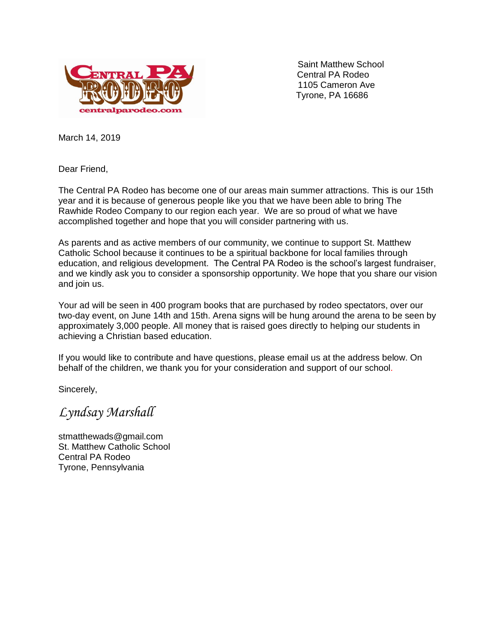

 Saint Matthew School Central PA Rodeo 1105 Cameron Ave Tyrone, PA 16686

March 14, 2019

Dear Friend,

The Central PA Rodeo has become one of our areas main summer attractions. This is our 15th year and it is because of generous people like you that we have been able to bring The Rawhide Rodeo Company to our region each year. We are so proud of what we have accomplished together and hope that you will consider partnering with us.

As parents and as active members of our community, we continue to support St. Matthew Catholic School because it continues to be a spiritual backbone for local families through education, and religious development. The Central PA Rodeo is the school's largest fundraiser, and we kindly ask you to consider a sponsorship opportunity. We hope that you share our vision and join us.

Your ad will be seen in 400 program books that are purchased by rodeo spectators, over our two-day event, on June 14th and 15th. Arena signs will be hung around the arena to be seen by approximately 3,000 people. All money that is raised goes directly to helping our students in achieving a Christian based education.

If you would like to contribute and have questions, please email us at the address below. On behalf of the children, we thank you for your consideration and support of our school.

Sincerely,

*Lyndsay Marshall* 

stmatthewads@gmail.com St. Matthew Catholic School Central PA Rodeo Tyrone, Pennsylvania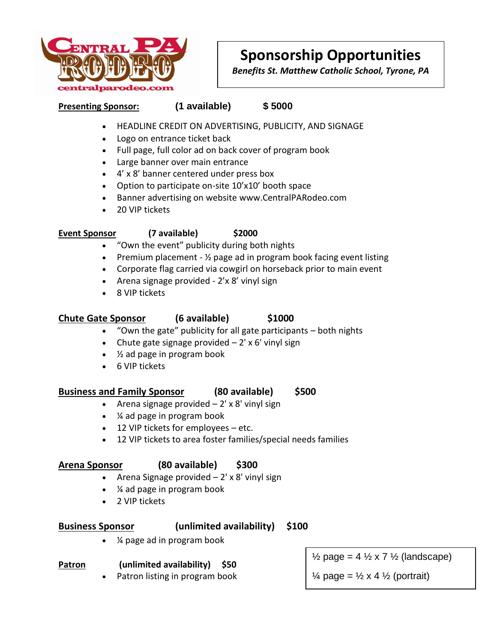

# **Sponsorship Opportunities**

*Benefits St. Matthew Catholic School, Tyrone, PA*

### **Presenting Sponsor: (1 available) \$ 5000**

- HEADLINE CREDIT ON ADVERTISING, PUBLICITY, AND SIGNAGE
- Logo on entrance ticket back
- Full page, full color ad on back cover of program book
- Large banner over main entrance
- 4' x 8' banner centered under press box
- Option to participate on-site 10'x10' booth space
- Banner advertising on website www.CentralPARodeo.com
- 20 VIP tickets

### **Event Sponsor (7 available) \$2000**

- "Own the event" publicity during both nights
- **•** Premium placement  $\frac{1}{2}$  page ad in program book facing event listing
- Corporate flag carried via cowgirl on horseback prior to main event
- Arena signage provided  $2'x8'$  vinyl sign
- 8 VIP tickets

### **Chute Gate Sponsor (6 available) \$1000**

- "Own the gate" publicity for all gate participants both nights
- Chute gate signage provided  $-2'$  x 6' vinyl sign
- ½ ad page in program book
- 6 VIP tickets

### **Business and Family Sponsor (80 available) \$500**

- Arena signage provided  $-2' \times 8'$  vinyl sign
- ¼ ad page in program book
- 12 VIP tickets for employees etc.
- 12 VIP tickets to area foster families/special needs families

### **Arena Sponsor (80 available) \$300**

- Arena Signage provided  $-2'$  x 8' vinyl sign
- ¼ ad page in program book
- 2 VIP tickets

### **Business Sponsor (unlimited availability) \$100**

¼ page ad in program book

### **Patron (unlimited availability) \$50**

Patron listing in program book

 $\frac{1}{2}$  page = 4  $\frac{1}{2}$  x 7  $\frac{1}{2}$  (landscape)

 $\frac{1}{4}$  page =  $\frac{1}{2}$  x 4  $\frac{1}{2}$  (portrait)